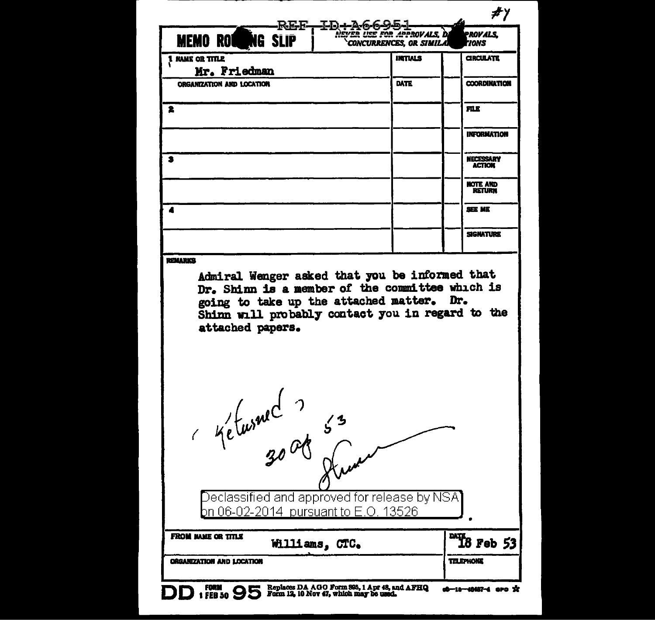| REF-ID-A6695-<br><b>MEMO ROWNG SLIP</b>                                                                                                                                                                                                         | <b>USE FOR APPROVALS.</b><br><b>CONCURRENCES. OR SIMILA</b> | PROVALS.<br>'IONS                 |
|-------------------------------------------------------------------------------------------------------------------------------------------------------------------------------------------------------------------------------------------------|-------------------------------------------------------------|-----------------------------------|
| 1 NAME OR TITLE<br>Mr. Friedman                                                                                                                                                                                                                 | <b>INTIALS</b>                                              | <b>CIRCULATE</b>                  |
| <b>ORGANIZATION AND LOCATION</b>                                                                                                                                                                                                                | <b>DATE</b>                                                 | <b>COORDINATION</b>               |
| 2                                                                                                                                                                                                                                               |                                                             | FILE                              |
|                                                                                                                                                                                                                                                 |                                                             | <b>INFORMATION</b>                |
| 2                                                                                                                                                                                                                                               |                                                             | <b>NECESSARY</b><br><b>ACTION</b> |
|                                                                                                                                                                                                                                                 |                                                             | HOTE AND<br>RETURN                |
| 4                                                                                                                                                                                                                                               |                                                             | <b>SEE ME</b>                     |
|                                                                                                                                                                                                                                                 |                                                             | <b>SIGNATURE</b>                  |
| <b><i>REMARKS</i></b><br>Admiral Wenger asked that you be informed that<br>Dr. Shinn is a member of the committee which is<br>going to take up the attached matter. Dr.<br>Shinn will probably contact you in regard to the<br>attached papers. |                                                             |                                   |
|                                                                                                                                                                                                                                                 |                                                             |                                   |
|                                                                                                                                                                                                                                                 |                                                             |                                   |
| Ketwred 3 53                                                                                                                                                                                                                                    |                                                             |                                   |
| Declassified and approved for release by NSA $\,$<br><u>0n 06-02-2014 pursuant to E.O. 13526</u>                                                                                                                                                |                                                             |                                   |
| <b>FROM MAME OR TITLE</b><br>Williams, CTC.                                                                                                                                                                                                     |                                                             | $\frac{M}{18}$ Feb 53             |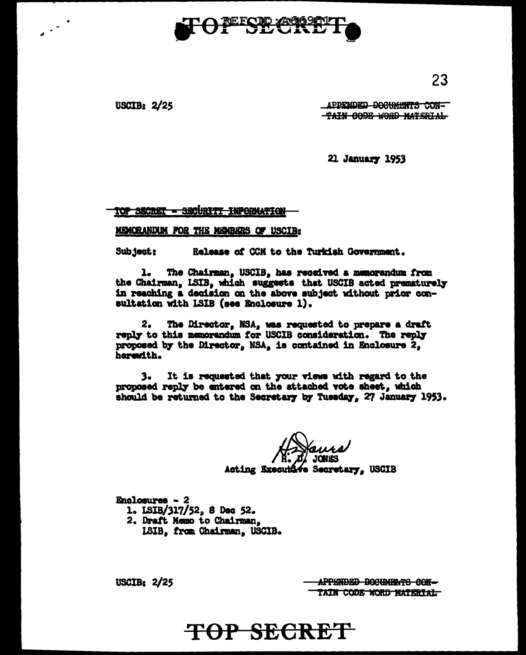

USCIB<sub>2</sub>  $2/25$ 

APPENDED DOCUMENTS CON-TAIN CODE WORD MATERIAL

21 January 1953

TOP SECRET - SECURITY INFORMATION

#### MEMORANDUM FOR THE MEMBERS OF USCIB:

Subject: Release of CCM to the Turkish Government.

The Chairman, USCIB, has received a memorandum from ı. the Chairman, LSIB, which suggests that USCIB acted prematurely in reaching a decision on the above subject without prior consultation with LSIB (see Enclosure 1).

 $2<sub>•</sub>$ The Director, NSA, was requested to prepare a draft reply to this memorandum for USCIB consideration. The reply proposed by the Director, NSA, is contained in Enclosure 2, herewith.

 $3.$ It is requested that your views with regard to the proposed reply be entered on the attached vote sheet, which should be returned to the Secretary by Tuesday, 27 January 1953.

Acting Executive Secretary, USCIB

Enclosures - 2 1. ISIB/317/52, 8 Dec 52. 2. Draft Memo to Chairman. **ISIB**. from Chairman, USCIB.

USCIB:  $2/25$ 

APPENDED DOCUMENTS CON-TAIN CODE WORD MATERIAL

# TOP SECRET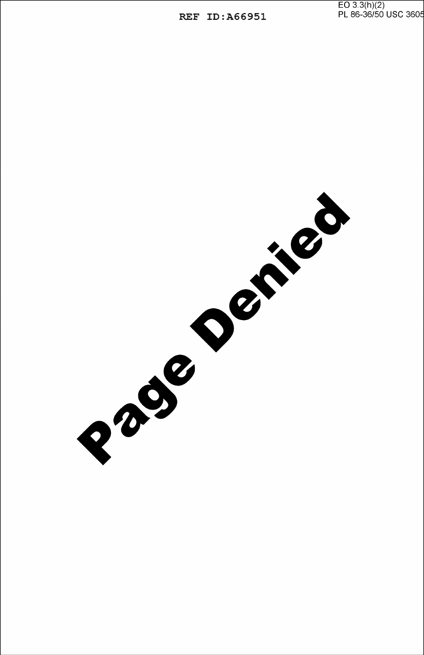EO 3.3(h)(2)

REF ID: A66951

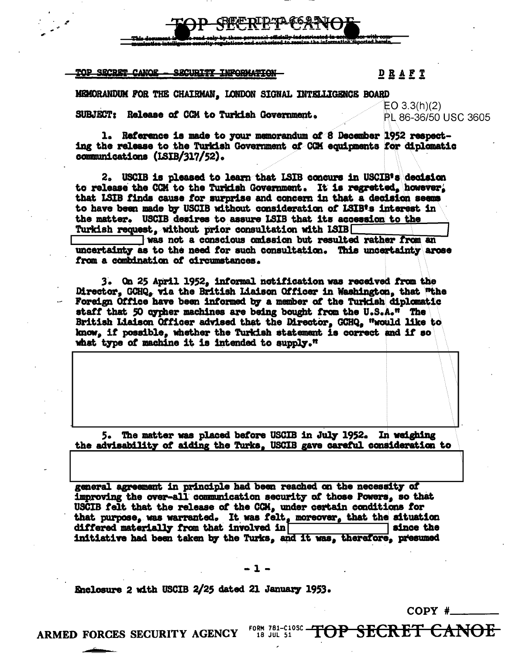#### **TOP SECRET CANOE** SECURITY INFORMATION

### $D$  R A F T

MEMORANDUM FOR THE CHAIRMAN, LONDON SIGNAL INTELLIGENCE BOARD

SUBJECT: Release of CCM to Turkish Government.

EO  $3.3(h)(2)$ PL 86-36/50 USC 3605

1. Reference is made to your memorandum of 8 December 1952 respecting the release to the Turkish Government of CCM equipments for diplomatic communications (ISIB/317/52).

2. USCIB is pleased to learn that ISIB concurs in USCIB's decision to release the CCM to the Turkish Government. It is regretted, however, that LSIB finds cause for surprise and concern in that a decision seems to have been made by USCIB without consideration of LSIB's interest in the matter. USCIB desires to assure LSIB that its accession to the Turkish request, without prior consultation with LSIB

was not a conscious omission but resulted rather from an uncertainty as to the need for such consultation. This uncertainty arose from a combination of circumstances.

3. On 25 April 1952, informal notification was received from the Director, GCHQ, via the British Liaison Officer in Washington, that "the Foreign Office have been informed by a member of the Turkish diplomatic staff that 50 cypher machines are being bought from the U.S.A." The British Liaison Officer advised that the Director, GCHQ, "would like to know, if possible, whether the Turkish statement is correct and if so what type of machine it is intended to supply."

5. The matter was placed before USCIB in July 1952. In weighing the advisability of aiding the Turks. USCIB gave careful consideration to

general agreement in principle had been reached on the necessity of improving the over-all communication security of those Powers, so that USCIB felt that the release of the CCM, under certain conditions for that purpose, was warranted. It was felt, moreover, that the situation differed materially from that involved in since the initiative had been taken by the Turks, and it was, therefore, presumed

Enclosure 2 with USCIB 2/25 dated 21 January 1953.

COPY  $#$ 

ARMED FORCES SECURITY AGENCY

FOR J81-C10SC TOP SECRET CANOE